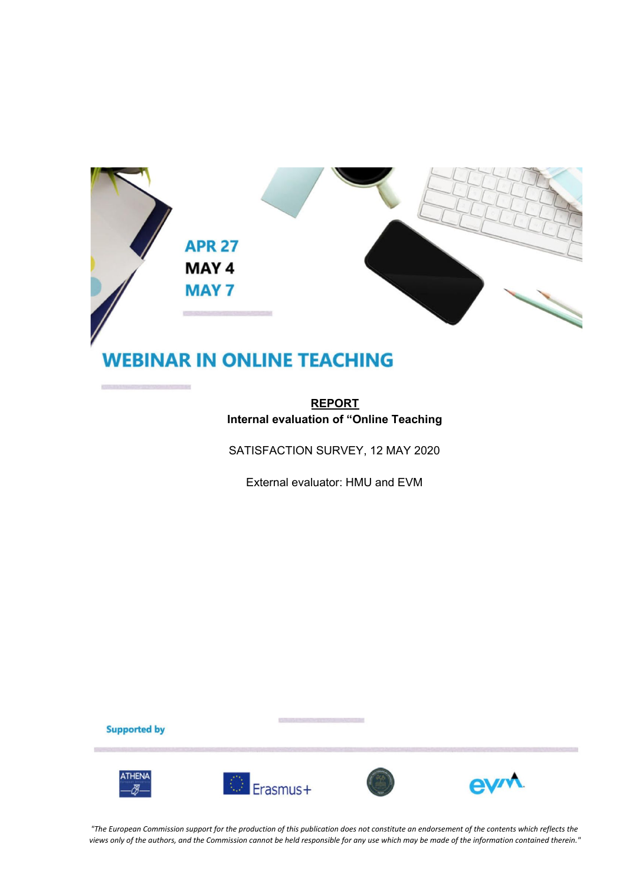

# **WEBINAR IN ONLINE TEACHING**

## **REPORT Internal evaluation of "Online Teaching**

SATISFACTION SURVEY, 12 MAY 2020

External evaluator: HMU and EVM

**Supported by** 







"The European Commission support for the production of this publication does not constitute an endorsement of the contents which reflects the views only of the authors, and the Commission cannot be held responsible for any use which may be made of the information contained therein."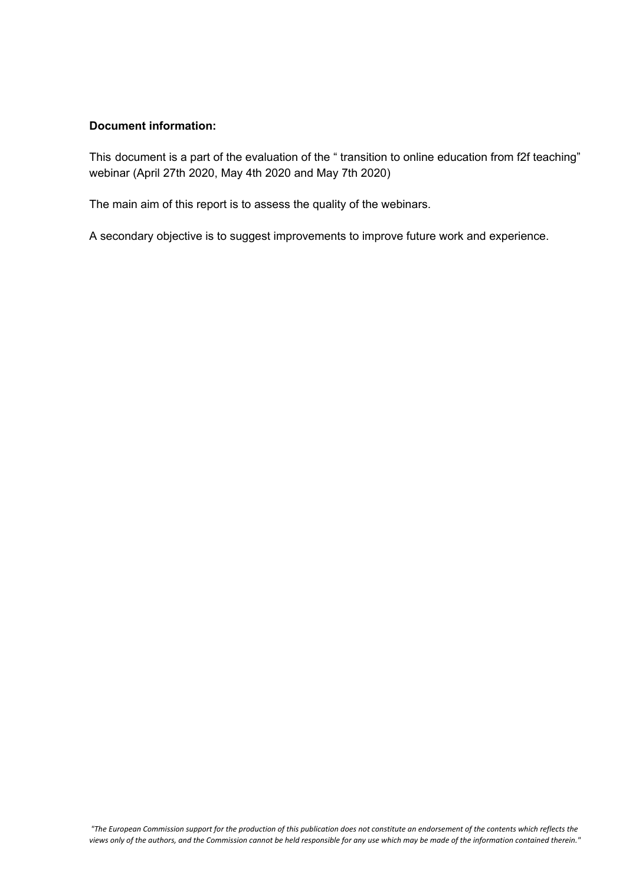#### **Document information:**

This document is a part of the evaluation of the " transition to online education from f2f teaching" webinar (April 27th 2020, May 4th 2020 and May 7th 2020)

The main aim of this report is to assess the quality of the webinars.

A secondary objective is to suggest improvements to improve future work and experience.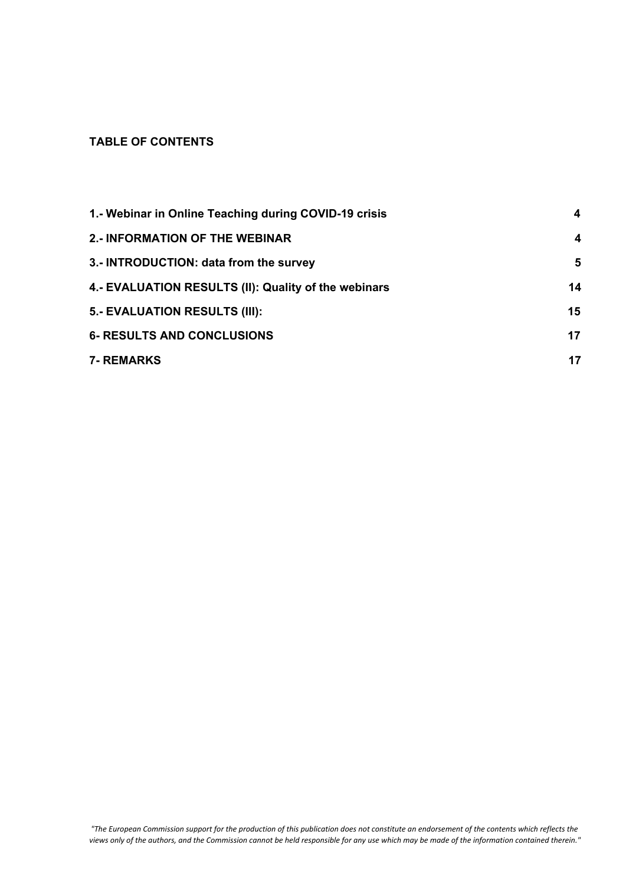## **TABLE OF CONTENTS**

| 1.- Webinar in Online Teaching during COVID-19 crisis | 4  |
|-------------------------------------------------------|----|
| 2.- INFORMATION OF THE WEBINAR                        | 4  |
| 3.- INTRODUCTION: data from the survey                | 5  |
| 4.- EVALUATION RESULTS (II): Quality of the webinars  | 14 |
| 5.- EVALUATION RESULTS (III):                         | 15 |
| <b>6- RESULTS AND CONCLUSIONS</b>                     | 17 |
| <b>7- REMARKS</b>                                     | 17 |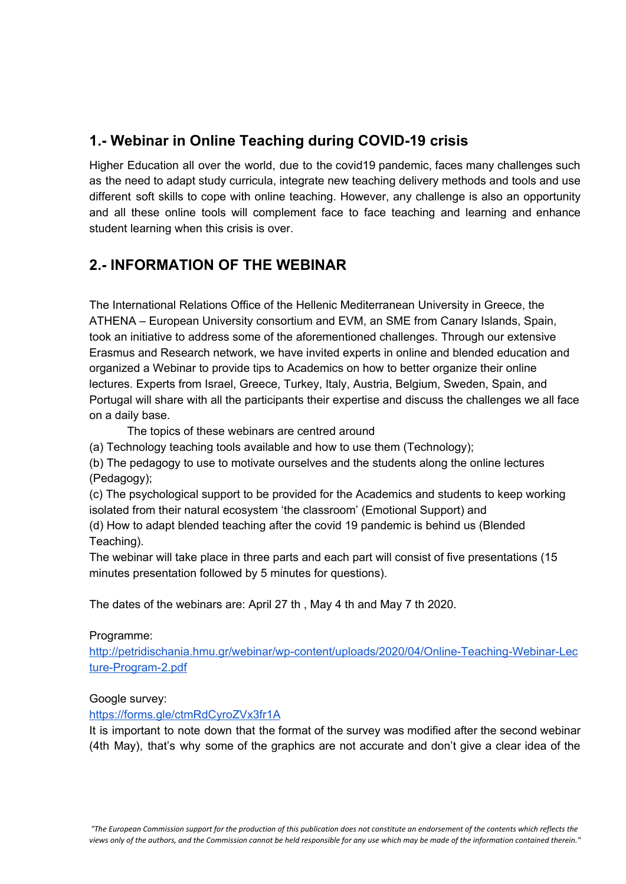# <span id="page-3-0"></span>**1.- Webinar in Online Teaching during COVID-19 crisis**

Higher Education all over the world, due to the covid19 pandemic, faces many challenges such as the need to adapt study curricula, integrate new teaching delivery methods and tools and use different soft skills to cope with online teaching. However, any challenge is also an opportunity and all these online tools will complement face to face teaching and learning and enhance student learning when this crisis is over.

# <span id="page-3-1"></span>**2.- INFORMATION OF THE WEBINAR**

The International Relations Office of the Hellenic Mediterranean University in Greece, the ATHENA – European University consortium and EVM, an SME from Canary Islands, Spain, took an initiative to address some of the aforementioned challenges. Through our extensive Erasmus and Research network, we have invited experts in online and blended education and organized a Webinar to provide tips to Academics on how to better organize their online lectures. Experts from Israel, Greece, Turkey, Italy, Austria, Belgium, Sweden, Spain, and Portugal will share with all the participants their expertise and discuss the challenges we all face on a daily base.

The topics of these webinars are centred around

(a) Technology teaching tools available and how to use them (Technology);

(b) The pedagogy to use to motivate ourselves and the students along the online lectures (Pedagogy);

(c) The psychological support to be provided for the Academics and students to keep working isolated from their natural ecosystem 'the classroom' (Emotional Support) and

(d) How to adapt blended teaching after the covid 19 pandemic is behind us (Blended Teaching).

The webinar will take place in three parts and each part will consist of five presentations (15 minutes presentation followed by 5 minutes for questions).

The dates of the webinars are: April 27 th , May 4 th and May 7 th 2020.

## Programme:

[http://petridischania.hmu.gr/webinar/wp-content/uploads/2020/04/Online-Teaching-Webinar-Lec](http://petridischania.hmu.gr/webinar/wp-content/uploads/2020/04/Online-Teaching-Webinar-Lecture-Program-2.pdf) [ture-Program-2.pdf](http://petridischania.hmu.gr/webinar/wp-content/uploads/2020/04/Online-Teaching-Webinar-Lecture-Program-2.pdf)

## Google survey:

<https://forms.gle/ctmRdCyroZVx3fr1A>

It is important to note down that the format of the survey was modified after the second webinar (4th May), that's why some of the graphics are not accurate and don't give a clear idea of the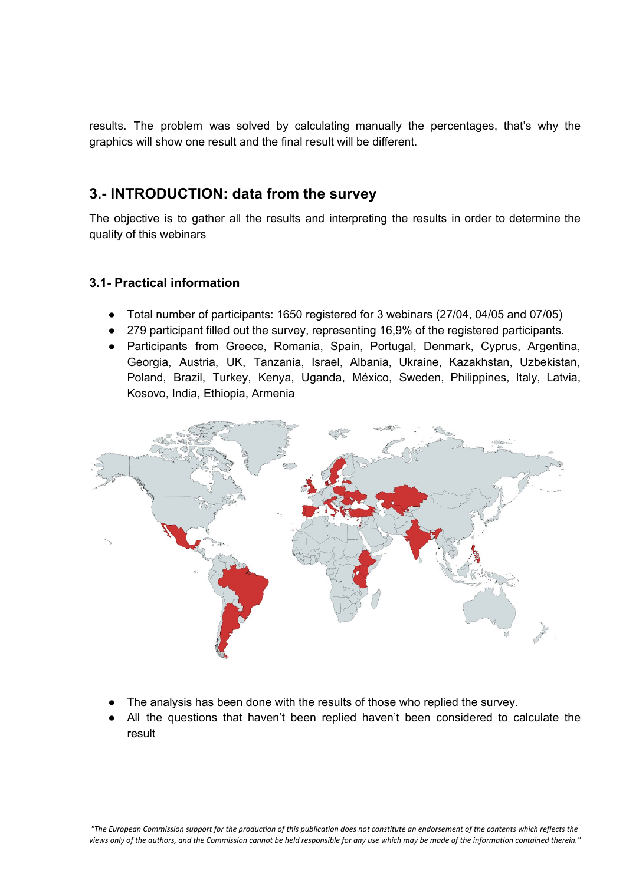results. The problem was solved by calculating manually the percentages, that's why the graphics will show one result and the final result will be different.

# <span id="page-4-0"></span>**3.- INTRODUCTION: data from the survey**

The objective is to gather all the results and interpreting the results in order to determine the quality of this webinars

## **3.1- Practical information**

- Total number of participants: 1650 registered for 3 webinars (27/04, 04/05 and 07/05)
- 279 participant filled out the survey, representing 16,9% of the registered participants.
- Participants from Greece, Romania, Spain, Portugal, Denmark, Cyprus, Argentina, Georgia, Austria, UK, Tanzania, Israel, Albania, Ukraine, Kazakhstan, Uzbekistan, Poland, Brazil, Turkey, Kenya, Uganda, México, Sweden, Philippines, Italy, Latvia, Kosovo, India, Ethiopia, Armenia



- The analysis has been done with the results of those who replied the survey.
- All the questions that haven't been replied haven't been considered to calculate the result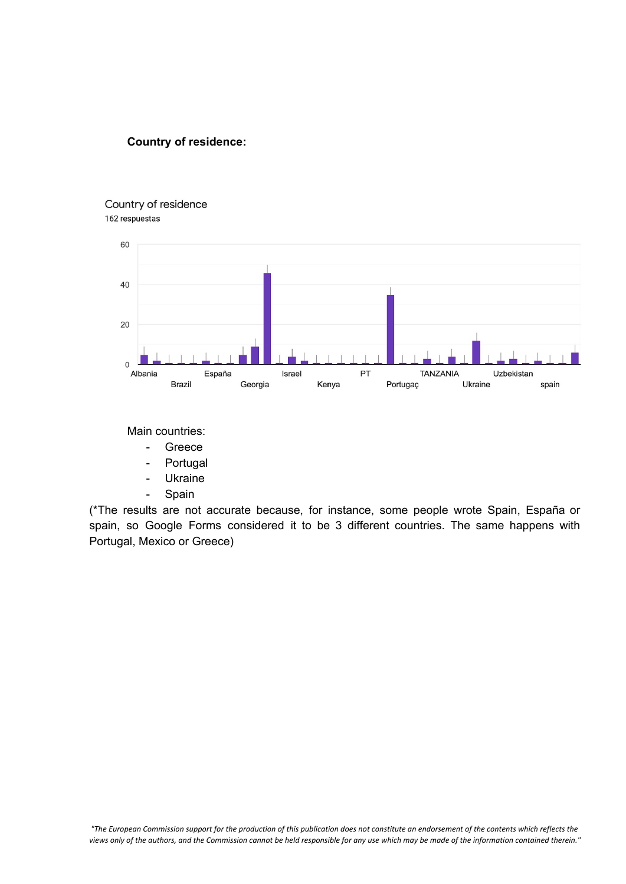#### **Country of residence:**

#### Country of residence 162 respuestas



Main countries:

- Greece
- Portugal
- Ukraine
- Spain

(\*The results are not accurate because, for instance, some people wrote Spain, España or spain, so Google Forms considered it to be 3 different countries. The same happens with Portugal, Mexico or Greece)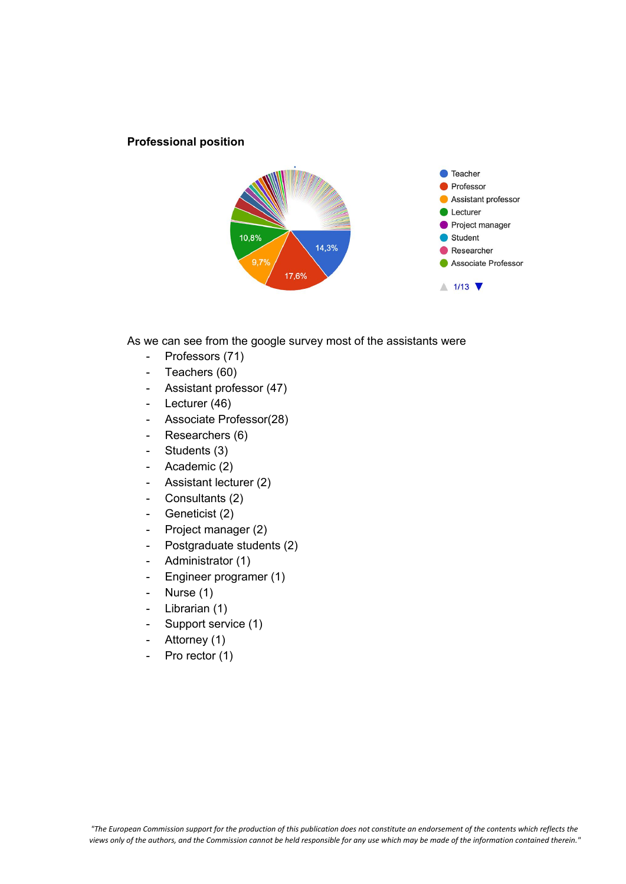#### **Professional position**



As we can see from the google survey most of the assistants were

- Professors (71)
- Teachers (60)
- Assistant professor (47)
- Lecturer (46)
- Associate Professor(28)
- Researchers (6)
- Students (3)
- Academic (2)
- Assistant lecturer (2)
- Consultants (2)
- Geneticist (2)
- Project manager (2)
- Postgraduate students (2)
- Administrator (1)
- Engineer programer (1)
- Nurse (1)
- Librarian (1)
- Support service (1)
- Attorney (1)
- Pro rector (1)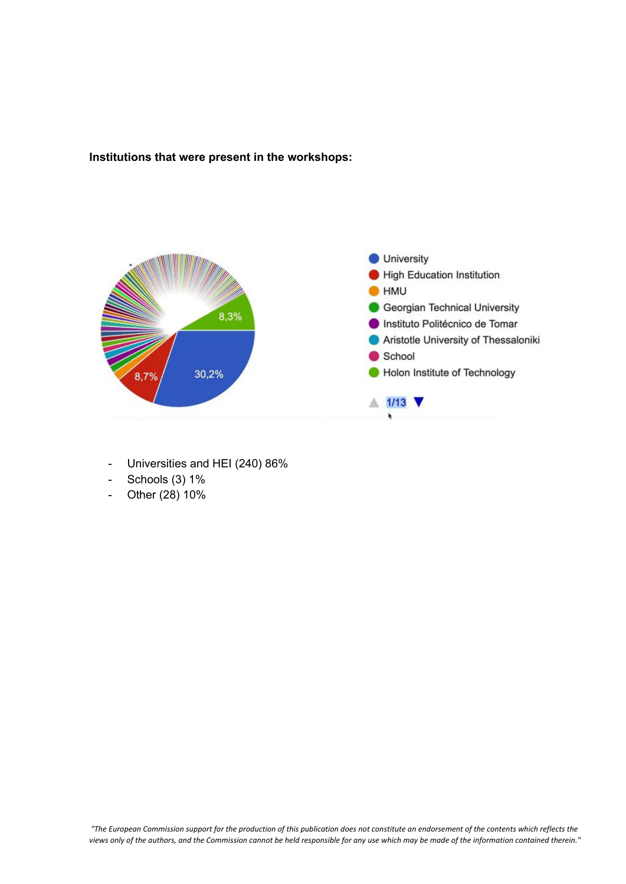**Institutions that were present in the workshops:**



- Universities and HEI (240) 86%
- Schools (3) 1%
- Other (28) 10%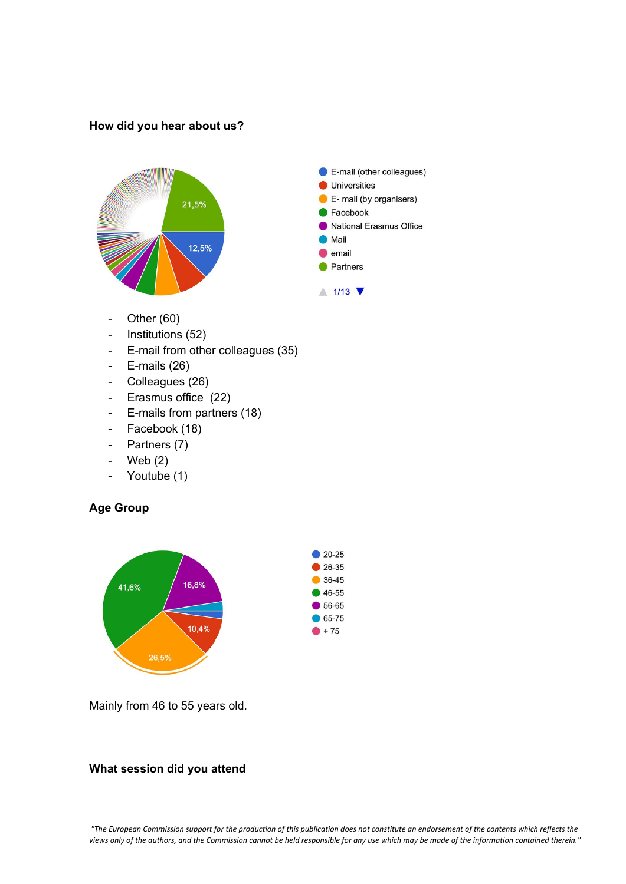#### **How did you hear about us?**



- Other (60)
- Institutions (52)
- E-mail from other colleagues (35)
- E-mails (26)
- Colleagues (26)
- Erasmus office (22)
- E-mails from partners (18)
- Facebook (18)
- Partners (7)
- Web (2)
- Youtube (1)

## **Age Group**



Mainly from 46 to 55 years old.

## **What session did you attend**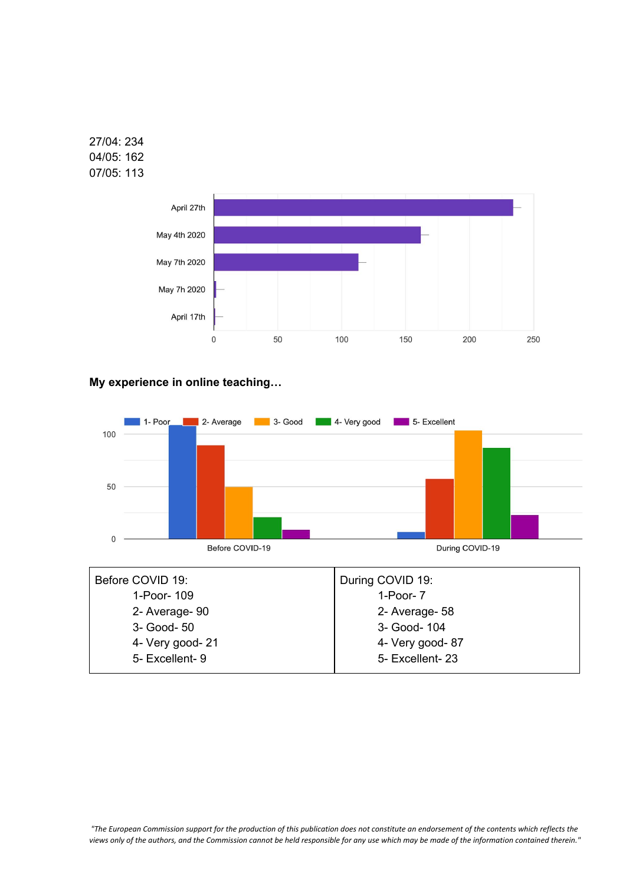





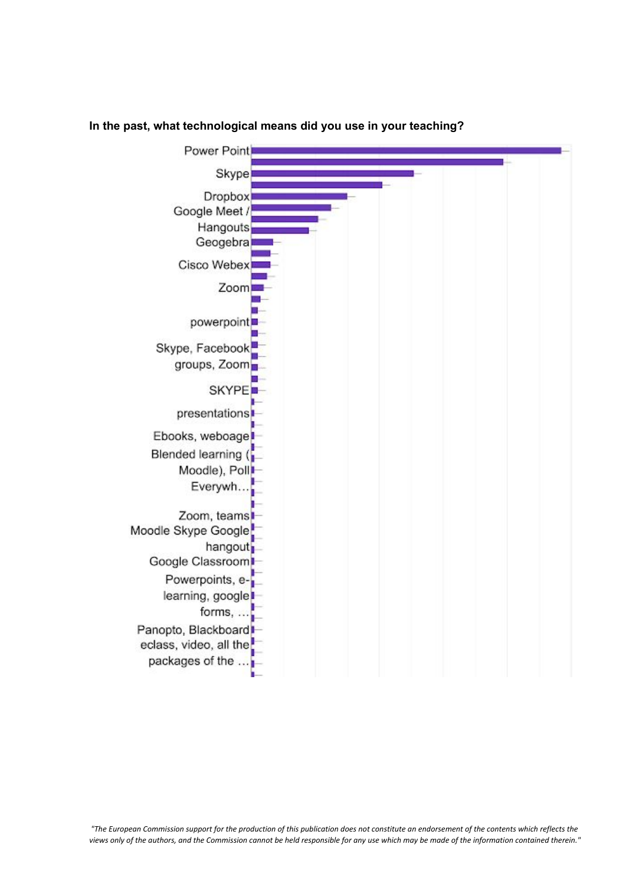

#### **In the past, what technological means did you use in your teaching?**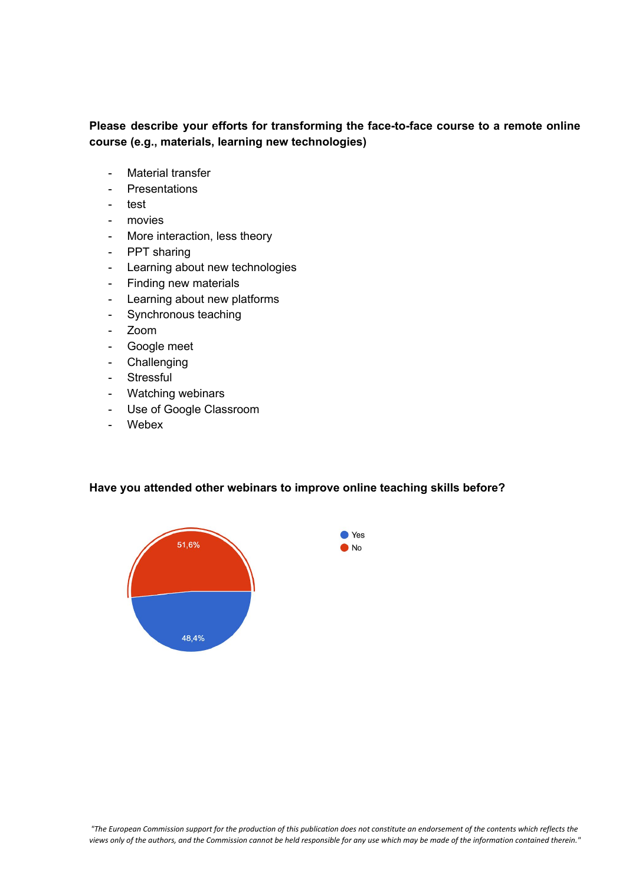## **Please describe your efforts for transforming the face-to-face course to a remote online course (e.g., materials, learning new technologies)**

- Material transfer
- **Presentations**
- test
- movies
- More interaction, less theory
- PPT sharing
- Learning about new technologies
- Finding new materials
- Learning about new platforms
- Synchronous teaching
- Zoom
- Google meet
- Challenging
- Stressful
- Watching webinars
- Use of Google Classroom
- Webex

**Have you attended other webinars to improve online teaching skills before?**

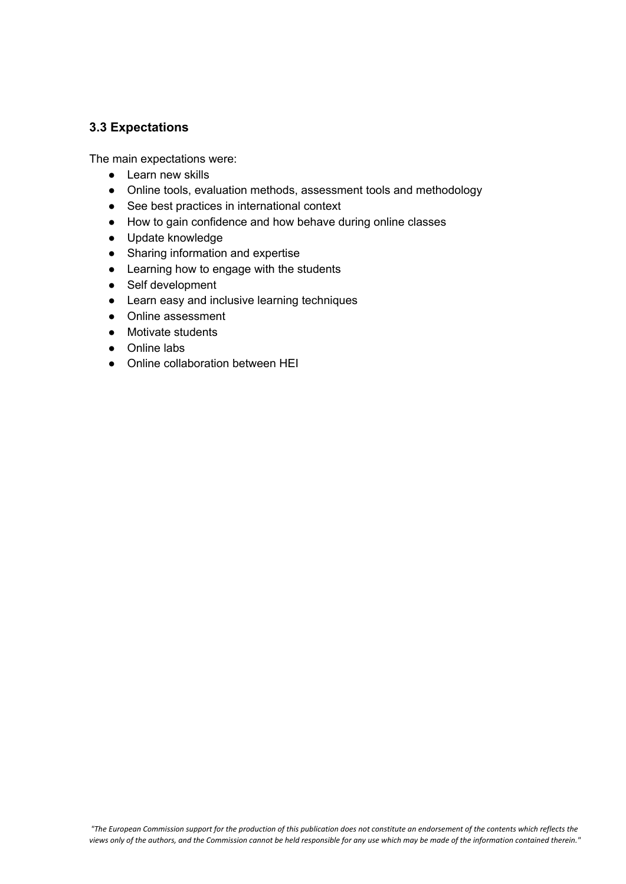## **3.3 Expectations**

The main expectations were:

- Learn new skills
- Online tools, evaluation methods, assessment tools and methodology
- See best practices in international context
- How to gain confidence and how behave during online classes
- Update knowledge
- Sharing information and expertise
- Learning how to engage with the students
- Self development
- Learn easy and inclusive learning techniques
- Online assessment
- Motivate students
- Online labs
- Online collaboration between HEI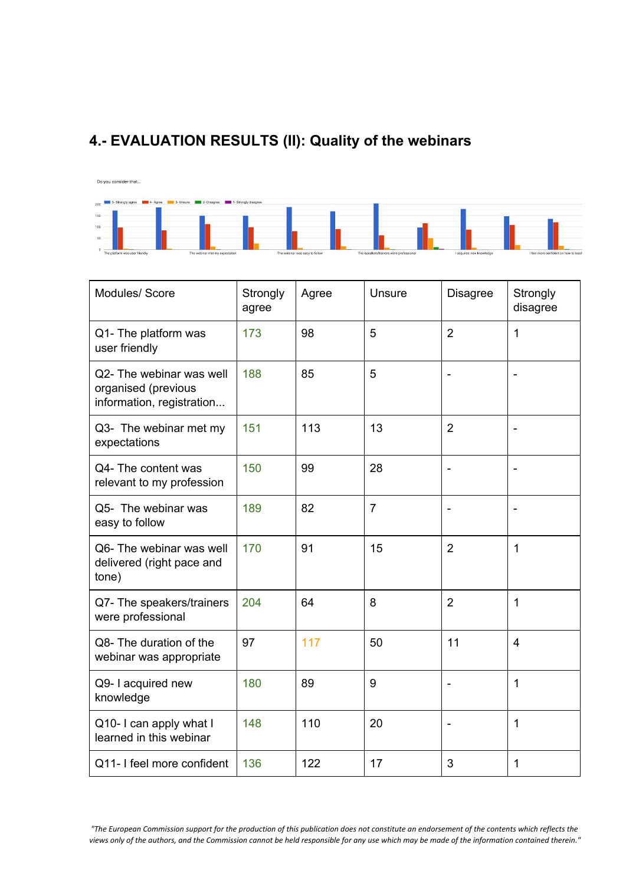# <span id="page-13-0"></span>**4.- EVALUATION RESULTS (II): Quality of the webinars**



| Modules/ Score                                                               | Strongly<br>agree | Agree | <b>Unsure</b>  | <b>Disagree</b> | Strongly<br>disagree |
|------------------------------------------------------------------------------|-------------------|-------|----------------|-----------------|----------------------|
| Q1- The platform was<br>user friendly                                        | 173               | 98    | 5              | $\overline{2}$  | 1                    |
| Q2- The webinar was well<br>organised (previous<br>information, registration | 188               | 85    | 5              |                 |                      |
| Q3- The webinar met my<br>expectations                                       | 151               | 113   | 13             | $\overline{2}$  |                      |
| Q4- The content was<br>relevant to my profession                             | 150               | 99    | 28             | $\blacksquare$  | ÷,                   |
| Q5- The webinar was<br>easy to follow                                        | 189               | 82    | $\overline{7}$ |                 |                      |
| Q6- The webinar was well<br>delivered (right pace and<br>tone)               | 170               | 91    | 15             | $\overline{2}$  | 1                    |
| Q7- The speakers/trainers<br>were professional                               | 204               | 64    | 8              | $\overline{2}$  | 1                    |
| Q8- The duration of the<br>webinar was appropriate                           | 97                | 117   | 50             | 11              | 4                    |
| Q9- I acquired new<br>knowledge                                              | 180               | 89    | 9              |                 | 1                    |
| Q10- I can apply what I<br>learned in this webinar                           | 148               | 110   | 20             |                 | 1                    |
| Q11- I feel more confident                                                   | 136               | 122   | 17             | 3               | 1                    |

"The European Commission support for the production of this publication does not constitute an endorsement of the contents which reflects the views only of the authors, and the Commission cannot be held responsible for any use which may be made of the information contained therein."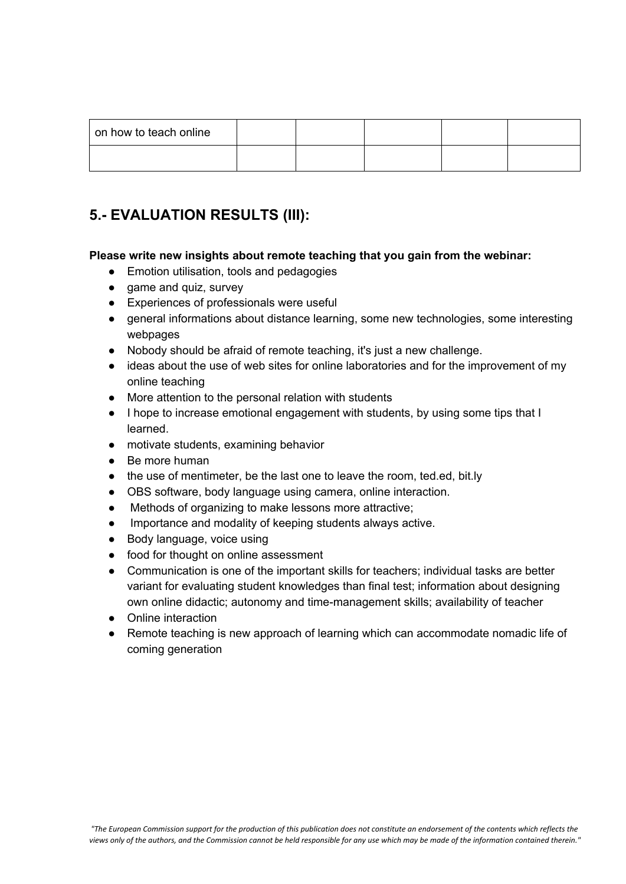| on how to teach online |  |  |  |
|------------------------|--|--|--|
|                        |  |  |  |

# <span id="page-14-0"></span>**5.- EVALUATION RESULTS (III):**

#### **Please write new insights about remote teaching that you gain from the webinar:**

- Emotion utilisation, tools and pedagogies
- game and quiz, survey
- Experiences of professionals were useful
- general informations about distance learning, some new technologies, some interesting webpages
- Nobody should be afraid of remote teaching, it's just a new challenge.
- ideas about the use of web sites for online laboratories and for the improvement of my online teaching
- More attention to the personal relation with students
- I hope to increase emotional engagement with students, by using some tips that I learned.
- motivate students, examining behavior
- Be more human
- the use of mentimeter, be the last one to leave the room, ted.ed, bit.ly
- OBS software, body language using camera, online interaction.
- Methods of organizing to make lessons more attractive;
- Importance and modality of keeping students always active.
- Body language, voice using
- food for thought on online assessment
- Communication is one of the important skills for teachers; individual tasks are better variant for evaluating student knowledges than final test; information about designing own online didactic; autonomy and time-management skills; availability of teacher
- Online interaction
- Remote teaching is new approach of learning which can accommodate nomadic life of coming generation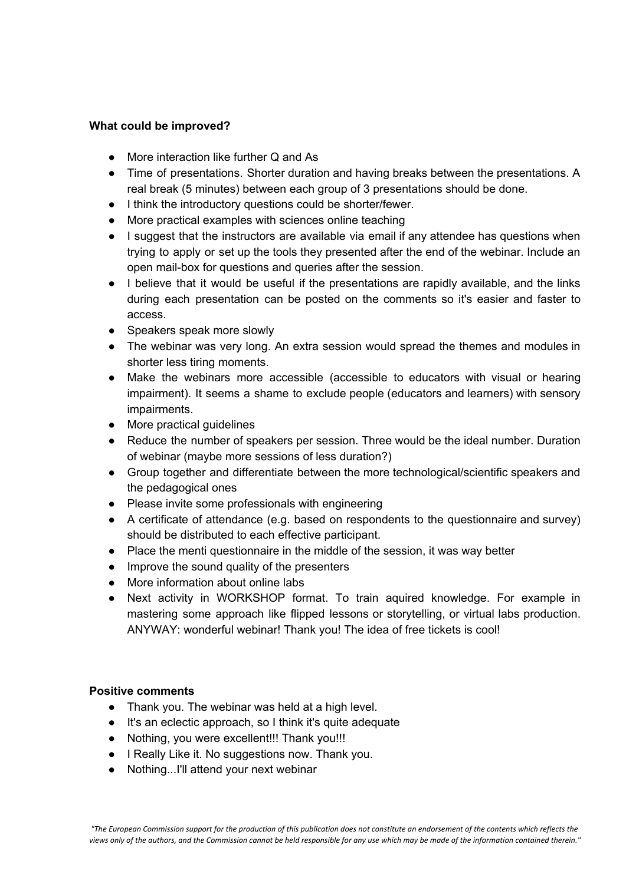#### **What could be improved?**

- More interaction like further Q and As
- Time of presentations. Shorter duration and having breaks between the presentations. A real break (5 minutes) between each group of 3 presentations should be done.
- I think the introductory questions could be shorter/fewer.
- More practical examples with sciences online teaching
- I suggest that the instructors are available via email if any attendee has questions when trying to apply or set up the tools they presented after the end of the webinar. Include an open mail-box for questions and queries after the session.
- I believe that it would be useful if the presentations are rapidly available, and the links during each presentation can be posted on the comments so it's easier and faster to access.
- Speakers speak more slowly
- The webinar was very long. An extra session would spread the themes and modules in shorter less tiring moments.
- Make the webinars more accessible (accessible to educators with visual or hearing impairment). It seems a shame to exclude people (educators and learners) with sensory impairments.
- More practical guidelines
- Reduce the number of speakers per session. Three would be the ideal number. Duration of webinar (maybe more sessions of less duration?)
- Group together and differentiate between the more technological/scientific speakers and the pedagogical ones
- Please invite some professionals with engineering
- A certificate of attendance (e.g. based on respondents to the questionnaire and survey) should be distributed to each effective participant.
- Place the menti questionnaire in the middle of the session, it was way better
- Improve the sound quality of the presenters
- More information about online labs
- Next activity in WORKSHOP format. To train aquired knowledge. For example in mastering some approach like flipped lessons or storytelling, or virtual labs production. ANYWAY: wonderful webinar! Thank you! The idea of free tickets is cool!

#### **Positive comments**

- Thank you. The webinar was held at a high level.
- It's an eclectic approach, so I think it's quite adequate
- Nothing, you were excellent!!! Thank you!!!
- I Really Like it. No suggestions now. Thank you.
- Nothing...I'll attend your next webinar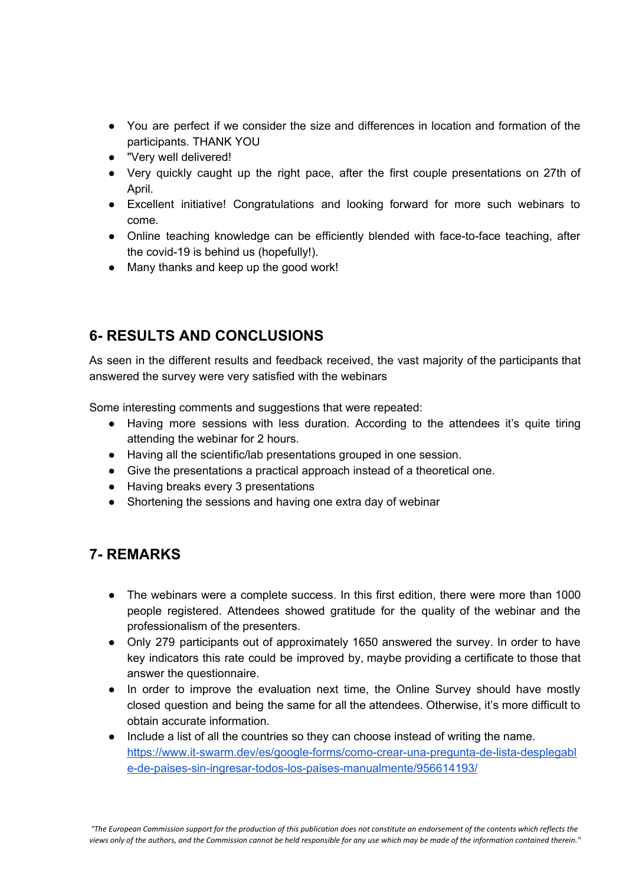- You are perfect if we consider the size and differences in location and formation of the participants. THANK YOU
- "Very well delivered!
- Very quickly caught up the right pace, after the first couple presentations on 27th of April.
- Excellent initiative! Congratulations and looking forward for more such webinars to come.
- Online teaching knowledge can be efficiently blended with face-to-face teaching, after the covid-19 is behind us (hopefully!).
- Many thanks and keep up the good work!

# <span id="page-16-0"></span>**6- RESULTS AND CONCLUSIONS**

As seen in the different results and feedback received, the vast majority of the participants that answered the survey were very satisfied with the webinars

Some interesting comments and suggestions that were repeated:

- Having more sessions with less duration. According to the attendees it's quite tiring attending the webinar for 2 hours.
- Having all the scientific/lab presentations grouped in one session.
- Give the presentations a practical approach instead of a theoretical one.
- Having breaks every 3 presentations
- Shortening the sessions and having one extra day of webinar

# <span id="page-16-1"></span>**7- REMARKS**

- The webinars were a complete success. In this first edition, there were more than 1000 people registered. Attendees showed gratitude for the quality of the webinar and the professionalism of the presenters.
- Only 279 participants out of approximately 1650 answered the survey. In order to have key indicators this rate could be improved by, maybe providing a certificate to those that answer the questionnaire.
- In order to improve the evaluation next time, the Online Survey should have mostly closed question and being the same for all the attendees. Otherwise, it's more difficult to obtain accurate information.
- Include a list of all the countries so they can choose instead of writing the name. [https://www.it-swarm.dev/es/google-forms/como-crear-una-pregunta-de-lista-desplegabl](https://www.it-swarm.dev/es/google-forms/como-crear-una-pregunta-de-lista-desplegable-de-paises-sin-ingresar-todos-los-paises-manualmente/956614193/) [e-de-paises-sin-ingresar-todos-los-paises-manualmente/956614193/](https://www.it-swarm.dev/es/google-forms/como-crear-una-pregunta-de-lista-desplegable-de-paises-sin-ingresar-todos-los-paises-manualmente/956614193/)